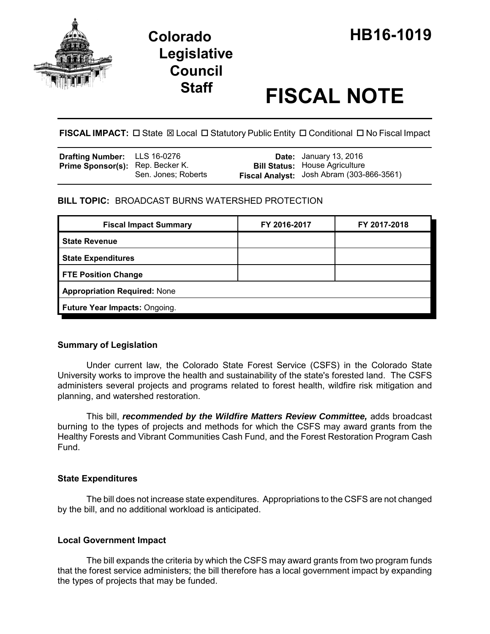

# **Staff FISCAL NOTE**

**FISCAL IMPACT:** □ State  $\boxtimes$  Local □ Statutory Public Entity □ Conditional □ No Fiscal Impact

| <b>Drafting Number:</b> LLS 16-0276     |                     | <b>Date:</b> January 13, 2016                    |
|-----------------------------------------|---------------------|--------------------------------------------------|
| <b>Prime Sponsor(s):</b> Rep. Becker K. |                     | <b>Bill Status: House Agriculture</b>            |
|                                         | Sen. Jones: Roberts | <b>Fiscal Analyst:</b> Josh Abram (303-866-3561) |

## **BILL TOPIC:** BROADCAST BURNS WATERSHED PROTECTION

| <b>Fiscal Impact Summary</b>        | FY 2016-2017 | FY 2017-2018 |  |  |
|-------------------------------------|--------------|--------------|--|--|
| <b>State Revenue</b>                |              |              |  |  |
| <b>State Expenditures</b>           |              |              |  |  |
| <b>FTE Position Change</b>          |              |              |  |  |
| <b>Appropriation Required: None</b> |              |              |  |  |
| Future Year Impacts: Ongoing.       |              |              |  |  |

## **Summary of Legislation**

Under current law, the Colorado State Forest Service (CSFS) in the Colorado State University works to improve the health and sustainability of the state's forested land. The CSFS administers several projects and programs related to forest health, wildfire risk mitigation and planning, and watershed restoration.

This bill, *recommended by the Wildfire Matters Review Committee,* adds broadcast burning to the types of projects and methods for which the CSFS may award grants from the Healthy Forests and Vibrant Communities Cash Fund, and the Forest Restoration Program Cash Fund.

## **State Expenditures**

The bill does not increase state expenditures. Appropriations to the CSFS are not changed by the bill, and no additional workload is anticipated.

## **Local Government Impact**

The bill expands the criteria by which the CSFS may award grants from two program funds that the forest service administers; the bill therefore has a local government impact by expanding the types of projects that may be funded.